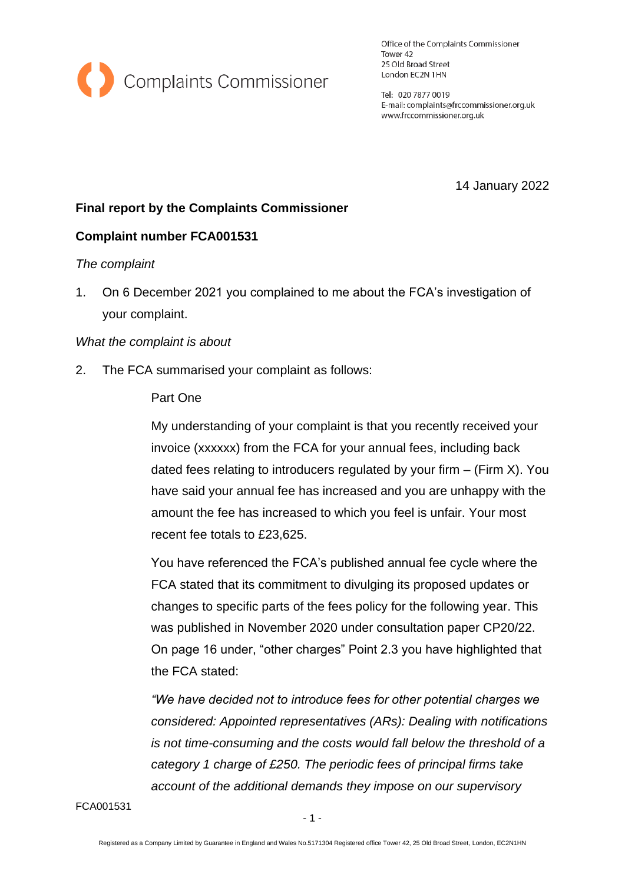

Office of the Complaints Commissioner Tower 42 25 Old Broad Street London EC2N 1HN

Tel: 020 7877 0019 E-mail: complaints@frccommissioner.org.uk www.frccommissioner.org.uk

14 January 2022

# **Final report by the Complaints Commissioner**

# **Complaint number FCA001531**

## *The complaint*

1. On 6 December 2021 you complained to me about the FCA's investigation of your complaint.

## *What the complaint is about*

2. The FCA summarised your complaint as follows:

## Part One

My understanding of your complaint is that you recently received your invoice (xxxxxx) from the FCA for your annual fees, including back dated fees relating to introducers regulated by your firm  $-$  (Firm X). You have said your annual fee has increased and you are unhappy with the amount the fee has increased to which you feel is unfair. Your most recent fee totals to £23,625.

You have referenced the FCA's published annual fee cycle where the FCA stated that its commitment to divulging its proposed updates or changes to specific parts of the fees policy for the following year. This was published in November 2020 under consultation paper CP20/22. On page 16 under, "other charges" Point 2.3 you have highlighted that the FCA stated:

*"We have decided not to introduce fees for other potential charges we considered: Appointed representatives (ARs): Dealing with notifications is not time-consuming and the costs would fall below the threshold of a category 1 charge of £250. The periodic fees of principal firms take account of the additional demands they impose on our supervisory*

FCA001531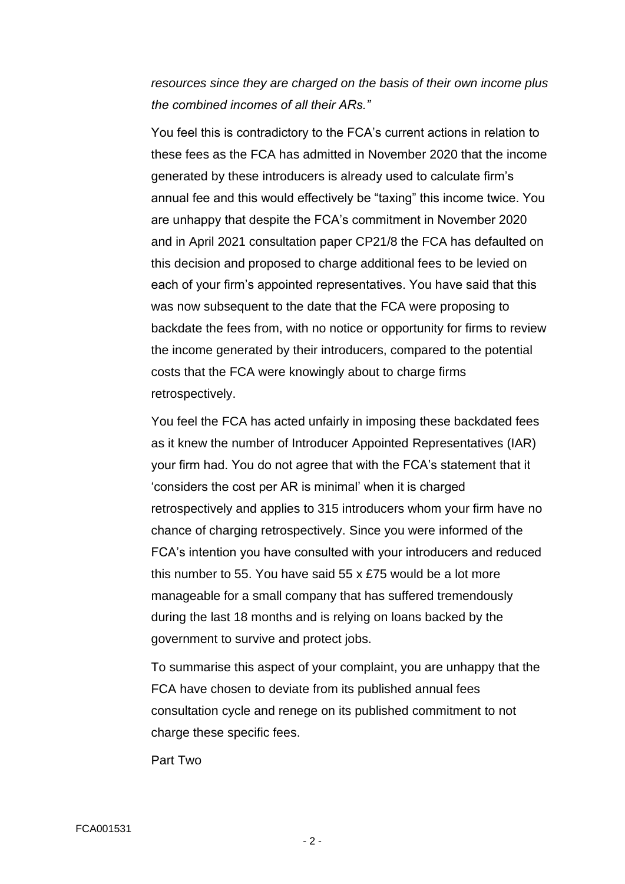*resources since they are charged on the basis of their own income plus the combined incomes of all their ARs."*

You feel this is contradictory to the FCA's current actions in relation to these fees as the FCA has admitted in November 2020 that the income generated by these introducers is already used to calculate firm's annual fee and this would effectively be "taxing" this income twice. You are unhappy that despite the FCA's commitment in November 2020 and in April 2021 consultation paper CP21/8 the FCA has defaulted on this decision and proposed to charge additional fees to be levied on each of your firm's appointed representatives. You have said that this was now subsequent to the date that the FCA were proposing to backdate the fees from, with no notice or opportunity for firms to review the income generated by their introducers, compared to the potential costs that the FCA were knowingly about to charge firms retrospectively.

You feel the FCA has acted unfairly in imposing these backdated fees as it knew the number of Introducer Appointed Representatives (IAR) your firm had. You do not agree that with the FCA's statement that it 'considers the cost per AR is minimal' when it is charged retrospectively and applies to 315 introducers whom your firm have no chance of charging retrospectively. Since you were informed of the FCA's intention you have consulted with your introducers and reduced this number to 55. You have said 55 x £75 would be a lot more manageable for a small company that has suffered tremendously during the last 18 months and is relying on loans backed by the government to survive and protect jobs.

To summarise this aspect of your complaint, you are unhappy that the FCA have chosen to deviate from its published annual fees consultation cycle and renege on its published commitment to not charge these specific fees.

Part Two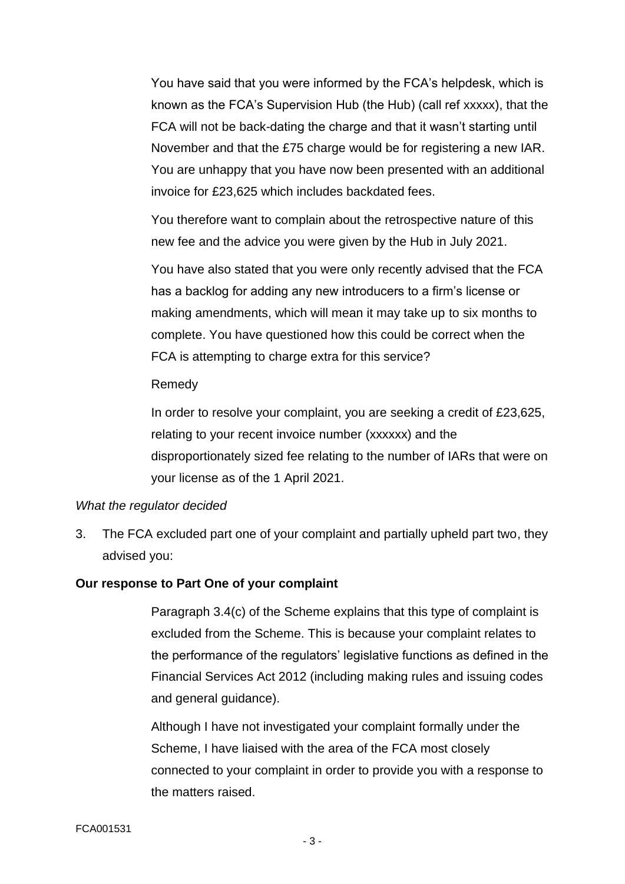You have said that you were informed by the FCA's helpdesk, which is known as the FCA's Supervision Hub (the Hub) (call ref xxxxx), that the FCA will not be back-dating the charge and that it wasn't starting until November and that the £75 charge would be for registering a new IAR. You are unhappy that you have now been presented with an additional invoice for £23,625 which includes backdated fees.

You therefore want to complain about the retrospective nature of this new fee and the advice you were given by the Hub in July 2021.

You have also stated that you were only recently advised that the FCA has a backlog for adding any new introducers to a firm's license or making amendments, which will mean it may take up to six months to complete. You have questioned how this could be correct when the FCA is attempting to charge extra for this service?

### Remedy

In order to resolve your complaint, you are seeking a credit of £23,625, relating to your recent invoice number (xxxxxx) and the disproportionately sized fee relating to the number of IARs that were on your license as of the 1 April 2021.

### *What the regulator decided*

3. The FCA excluded part one of your complaint and partially upheld part two, they advised you:

## **Our response to Part One of your complaint**

Paragraph 3.4(c) of the Scheme explains that this type of complaint is excluded from the Scheme. This is because your complaint relates to the performance of the regulators' legislative functions as defined in the Financial Services Act 2012 (including making rules and issuing codes and general guidance).

Although I have not investigated your complaint formally under the Scheme, I have liaised with the area of the FCA most closely connected to your complaint in order to provide you with a response to the matters raised.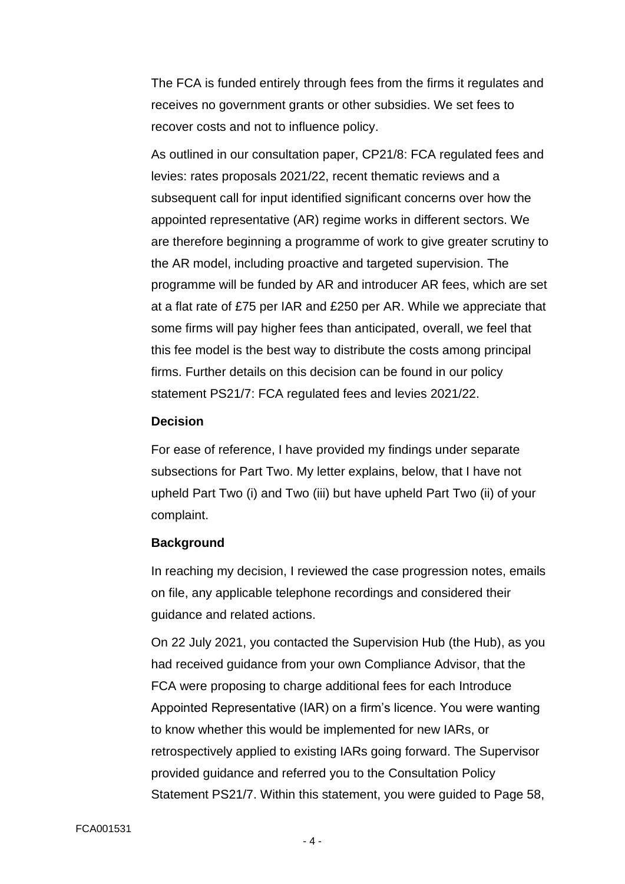The FCA is funded entirely through fees from the firms it regulates and receives no government grants or other subsidies. We set fees to recover costs and not to influence policy.

As outlined in our consultation paper, CP21/8: FCA regulated fees and levies: rates proposals 2021/22, recent thematic reviews and a subsequent call for input identified significant concerns over how the appointed representative (AR) regime works in different sectors. We are therefore beginning a programme of work to give greater scrutiny to the AR model, including proactive and targeted supervision. The programme will be funded by AR and introducer AR fees, which are set at a flat rate of £75 per IAR and £250 per AR. While we appreciate that some firms will pay higher fees than anticipated, overall, we feel that this fee model is the best way to distribute the costs among principal firms. Further details on this decision can be found in our policy statement PS21/7: FCA regulated fees and levies 2021/22.

### **Decision**

For ease of reference, I have provided my findings under separate subsections for Part Two. My letter explains, below, that I have not upheld Part Two (i) and Two (iii) but have upheld Part Two (ii) of your complaint.

#### **Background**

In reaching my decision, I reviewed the case progression notes, emails on file, any applicable telephone recordings and considered their guidance and related actions.

On 22 July 2021, you contacted the Supervision Hub (the Hub), as you had received guidance from your own Compliance Advisor, that the FCA were proposing to charge additional fees for each Introduce Appointed Representative (IAR) on a firm's licence. You were wanting to know whether this would be implemented for new IARs, or retrospectively applied to existing IARs going forward. The Supervisor provided guidance and referred you to the Consultation Policy Statement PS21/7. Within this statement, you were guided to Page 58,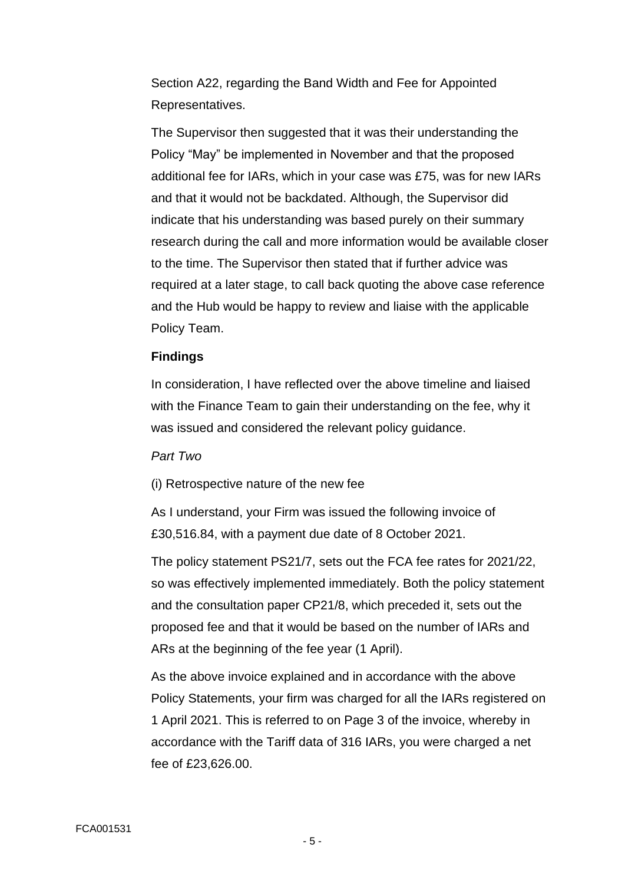Section A22, regarding the Band Width and Fee for Appointed Representatives.

The Supervisor then suggested that it was their understanding the Policy "May" be implemented in November and that the proposed additional fee for IARs, which in your case was £75, was for new IARs and that it would not be backdated. Although, the Supervisor did indicate that his understanding was based purely on their summary research during the call and more information would be available closer to the time. The Supervisor then stated that if further advice was required at a later stage, to call back quoting the above case reference and the Hub would be happy to review and liaise with the applicable Policy Team.

### **Findings**

In consideration, I have reflected over the above timeline and liaised with the Finance Team to gain their understanding on the fee, why it was issued and considered the relevant policy guidance.

### *Part Two*

(i) Retrospective nature of the new fee

As I understand, your Firm was issued the following invoice of £30,516.84, with a payment due date of 8 October 2021.

The policy statement PS21/7, sets out the FCA fee rates for 2021/22, so was effectively implemented immediately. Both the policy statement and the consultation paper CP21/8, which preceded it, sets out the proposed fee and that it would be based on the number of IARs and ARs at the beginning of the fee year (1 April).

As the above invoice explained and in accordance with the above Policy Statements, your firm was charged for all the IARs registered on 1 April 2021. This is referred to on Page 3 of the invoice, whereby in accordance with the Tariff data of 316 IARs, you were charged a net fee of £23,626.00.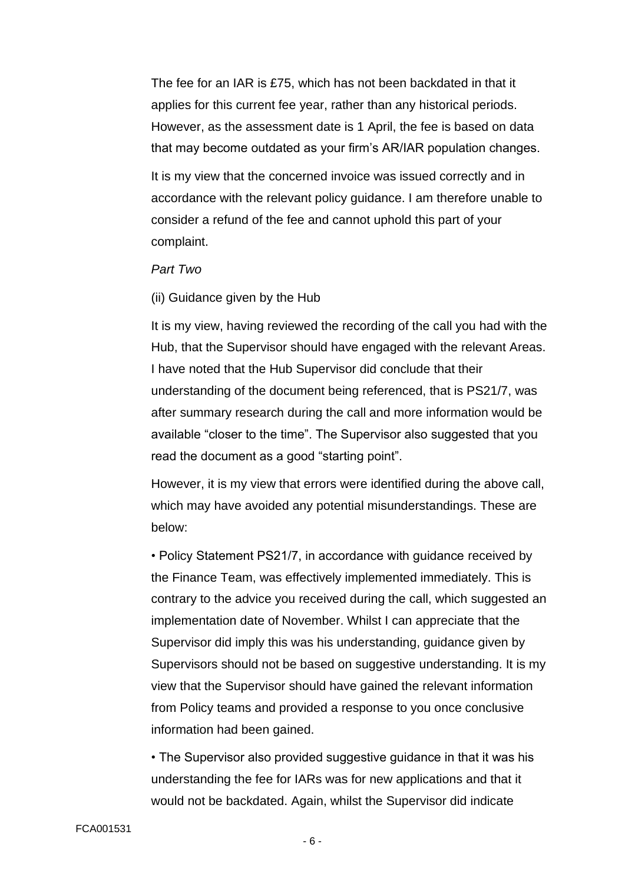The fee for an IAR is £75, which has not been backdated in that it applies for this current fee year, rather than any historical periods. However, as the assessment date is 1 April, the fee is based on data that may become outdated as your firm's AR/IAR population changes.

It is my view that the concerned invoice was issued correctly and in accordance with the relevant policy guidance. I am therefore unable to consider a refund of the fee and cannot uphold this part of your complaint.

### *Part Two*

#### (ii) Guidance given by the Hub

It is my view, having reviewed the recording of the call you had with the Hub, that the Supervisor should have engaged with the relevant Areas. I have noted that the Hub Supervisor did conclude that their understanding of the document being referenced, that is PS21/7, was after summary research during the call and more information would be available "closer to the time". The Supervisor also suggested that you read the document as a good "starting point".

However, it is my view that errors were identified during the above call, which may have avoided any potential misunderstandings. These are below:

• Policy Statement PS21/7, in accordance with guidance received by the Finance Team, was effectively implemented immediately. This is contrary to the advice you received during the call, which suggested an implementation date of November. Whilst I can appreciate that the Supervisor did imply this was his understanding, guidance given by Supervisors should not be based on suggestive understanding. It is my view that the Supervisor should have gained the relevant information from Policy teams and provided a response to you once conclusive information had been gained.

• The Supervisor also provided suggestive guidance in that it was his understanding the fee for IARs was for new applications and that it would not be backdated. Again, whilst the Supervisor did indicate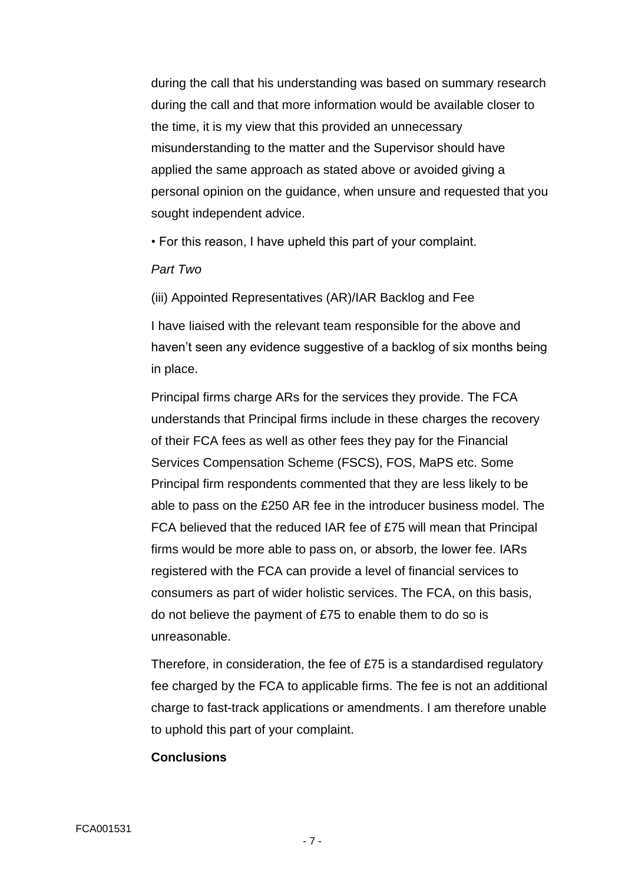during the call that his understanding was based on summary research during the call and that more information would be available closer to the time, it is my view that this provided an unnecessary misunderstanding to the matter and the Supervisor should have applied the same approach as stated above or avoided giving a personal opinion on the guidance, when unsure and requested that you sought independent advice.

• For this reason, I have upheld this part of your complaint.

### *Part Two*

(iii) Appointed Representatives (AR)/IAR Backlog and Fee

I have liaised with the relevant team responsible for the above and haven't seen any evidence suggestive of a backlog of six months being in place.

Principal firms charge ARs for the services they provide. The FCA understands that Principal firms include in these charges the recovery of their FCA fees as well as other fees they pay for the Financial Services Compensation Scheme (FSCS), FOS, MaPS etc. Some Principal firm respondents commented that they are less likely to be able to pass on the £250 AR fee in the introducer business model. The FCA believed that the reduced IAR fee of £75 will mean that Principal firms would be more able to pass on, or absorb, the lower fee. IARs registered with the FCA can provide a level of financial services to consumers as part of wider holistic services. The FCA, on this basis, do not believe the payment of £75 to enable them to do so is unreasonable.

Therefore, in consideration, the fee of £75 is a standardised regulatory fee charged by the FCA to applicable firms. The fee is not an additional charge to fast-track applications or amendments. I am therefore unable to uphold this part of your complaint.

#### **Conclusions**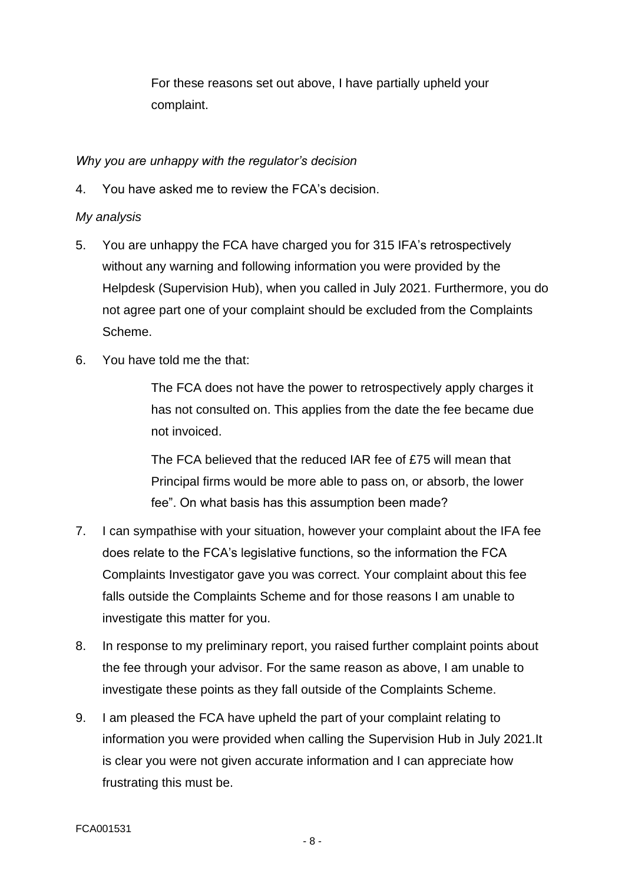For these reasons set out above, I have partially upheld your complaint.

# *Why you are unhappy with the regulator's decision*

4. You have asked me to review the FCA's decision.

## *My analysis*

- 5. You are unhappy the FCA have charged you for 315 IFA's retrospectively without any warning and following information you were provided by the Helpdesk (Supervision Hub), when you called in July 2021. Furthermore, you do not agree part one of your complaint should be excluded from the Complaints Scheme.
- 6. You have told me the that:

The FCA does not have the power to retrospectively apply charges it has not consulted on. This applies from the date the fee became due not invoiced.

The FCA believed that the reduced IAR fee of £75 will mean that Principal firms would be more able to pass on, or absorb, the lower fee". On what basis has this assumption been made?

- 7. I can sympathise with your situation, however your complaint about the IFA fee does relate to the FCA's legislative functions, so the information the FCA Complaints Investigator gave you was correct. Your complaint about this fee falls outside the Complaints Scheme and for those reasons I am unable to investigate this matter for you.
- 8. In response to my preliminary report, you raised further complaint points about the fee through your advisor. For the same reason as above, I am unable to investigate these points as they fall outside of the Complaints Scheme.
- 9. I am pleased the FCA have upheld the part of your complaint relating to information you were provided when calling the Supervision Hub in July 2021.It is clear you were not given accurate information and I can appreciate how frustrating this must be.